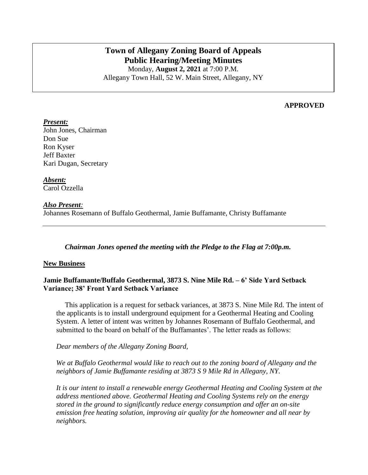# **Town of Allegany Zoning Board of Appeals Public Hearing/Meeting Minutes**

Monday, **August 2, 2021** at 7:00 P.M. Allegany Town Hall, 52 W. Main Street, Allegany, NY

### **APPROVED**

### *Present:*

John Jones, Chairman Don Sue Ron Kyser Jeff Baxter Kari Dugan, Secretary

*Absent:* Carol Ozzella

### *Also Present:*

Johannes Rosemann of Buffalo Geothermal, Jamie Buffamante, Christy Buffamante

### *Chairman Jones opened the meeting with the Pledge to the Flag at 7:00p.m.*

### **New Business**

### **Jamie Buffamante/Buffalo Geothermal, 3873 S. Nine Mile Rd. – 6' Side Yard Setback Variance; 38' Front Yard Setback Variance**

This application is a request for setback variances, at 3873 S. Nine Mile Rd. The intent of the applicants is to install underground equipment for a Geothermal Heating and Cooling System. A letter of intent was written by Johannes Rosemann of Buffalo Geothermal, and submitted to the board on behalf of the Buffamantes'. The letter reads as follows:

*Dear members of the Allegany Zoning Board,*

*We at Buffalo Geothermal would like to reach out to the zoning board of Allegany and the neighbors of Jamie Buffamante residing at 3873 S 9 Mile Rd in Allegany, NY.*

*It is our intent to install a renewable energy Geothermal Heating and Cooling System at the address mentioned above. Geothermal Heating and Cooling Systems rely on the energy stored in the ground to significantly reduce energy consumption and offer an on-site emission free heating solution, improving air quality for the homeowner and all near by neighbors.*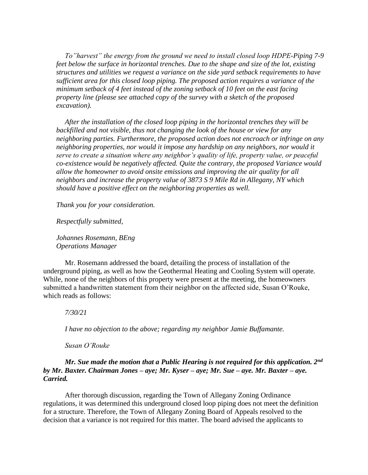*To"harvest" the energy from the ground we need to install closed loop HDPE-Piping 7-9 feet below the surface in horizontal trenches. Due to the shape and size of the lot, existing structures and utilities we request a variance on the side yard setback requirements to have sufficient area for this closed loop piping. The proposed action requires a variance of the minimum setback of 4 feet instead of the zoning setback of 10 feet on the east facing property line (please see attached copy of the survey with a sketch of the proposed excavation).*

*After the installation of the closed loop piping in the horizontal trenches they will be backfilled and not visible, thus not changing the look of the house or view for any neighboring parties. Furthermore, the proposed action does not encroach or infringe on any neighboring properties, nor would it impose any hardship on any neighbors, nor would it serve to create a situation where any neighbor's quality of life, property value, or peaceful co-existence would be negatively affected. Quite the contrary, the proposed Variance would allow the homeowner to avoid onsite emissions and improving the air quality for all neighbors and increase the property value of 3873 S 9 Mile Rd in Allegany, NY which should have a positive effect on the neighboring properties as well.*

*Thank you for your consideration.*

*Respectfully submitted,*

*Johannes Rosemann, BEng Operations Manager* 

Mr. Rosemann addressed the board, detailing the process of installation of the underground piping, as well as how the Geothermal Heating and Cooling System will operate. While, none of the neighbors of this property were present at the meeting, the homeowners submitted a handwritten statement from their neighbor on the affected side, Susan O'Rouke, which reads as follows:

#### *7/30/21*

*I have no objection to the above; regarding my neighbor Jamie Buffamante.* 

*Susan O'Rouke*

### *Mr. Sue made the motion that a Public Hearing is not required for this application. 2nd by Mr. Baxter. Chairman Jones – aye; Mr. Kyser – aye; Mr. Sue – aye. Mr. Baxter – aye. Carried.*

After thorough discussion, regarding the Town of Allegany Zoning Ordinance regulations, it was determined this underground closed loop piping does not meet the definition for a structure. Therefore, the Town of Allegany Zoning Board of Appeals resolved to the decision that a variance is not required for this matter. The board advised the applicants to